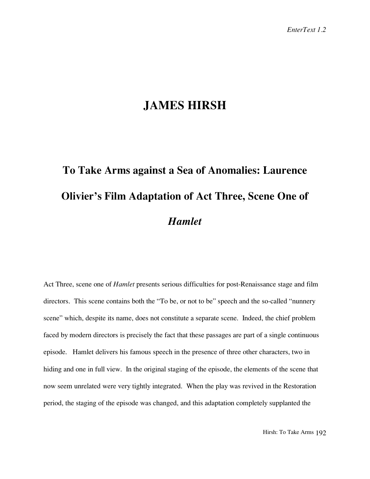## **JAMES HIRSH**

## **To Take Arms against a Sea of Anomalies: Laurence Olivier's Film Adaptation of Act Three, Scene One of** *Hamlet*

Act Three, scene one of *Hamlet* presents serious difficulties for post-Renaissance stage and film directors. This scene contains both the "To be, or not to be" speech and the so-called "nunnery scene" which, despite its name, does not constitute a separate scene. Indeed, the chief problem faced by modern directors is precisely the fact that these passages are part of a single continuous episode. Hamlet delivers his famous speech in the presence of three other characters, two in hiding and one in full view. In the original staging of the episode, the elements of the scene that now seem unrelated were very tightly integrated. When the play was revived in the Restoration period, the staging of the episode was changed, and this adaptation completely supplanted the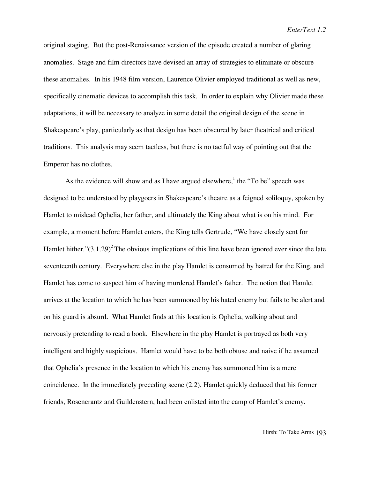original staging. But the post-Renaissance version of the episode created a number of glaring anomalies. Stage and film directors have devised an array of strategies to eliminate or obscure these anomalies. In his 1948 film version, Laurence Olivier employed traditional as well as new, specifically cinematic devices to accomplish this task. In order to explain why Olivier made these adaptations, it will be necessary to analyze in some detail the original design of the scene in Shakespeare's play, particularly as that design has been obscured by later theatrical and critical traditions. This analysis may seem tactless, but there is no tactful way of pointing out that the Emperor has no clothes.

As the evidence will show and as I have argued elsewhere,<sup>1</sup> the "To be" speech was designed to be understood by playgoers in Shakespeare's theatre as a feigned soliloquy, spoken by Hamlet to mislead Ophelia, her father, and ultimately the King about what is on his mind. For example, a moment before Hamlet enters, the King tells Gertrude, "We have closely sent for Hamlet hither." $(3.1.29)^2$  The obvious implications of this line have been ignored ever since the late seventeenth century. Everywhere else in the play Hamlet is consumed by hatred for the King, and Hamlet has come to suspect him of having murdered Hamlet's father. The notion that Hamlet arrives at the location to which he has been summoned by his hated enemy but fails to be alert and on his guard is absurd. What Hamlet finds at this location is Ophelia, walking about and nervously pretending to read a book. Elsewhere in the play Hamlet is portrayed as both very intelligent and highly suspicious. Hamlet would have to be both obtuse and naive if he assumed that Ophelia's presence in the location to which his enemy has summoned him is a mere coincidence. In the immediately preceding scene (2.2), Hamlet quickly deduced that his former friends, Rosencrantz and Guildenstern, had been enlisted into the camp of Hamlet's enemy.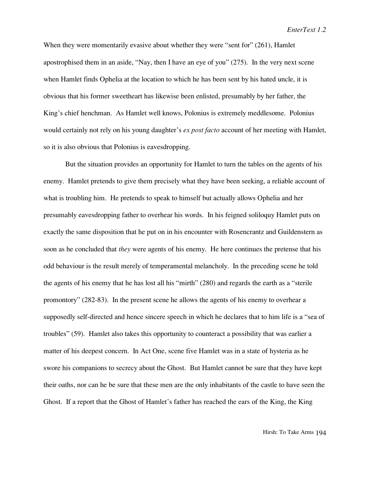When they were momentarily evasive about whether they were "sent for" (261), Hamlet apostrophised them in an aside, "Nay, then I have an eye of you" (275). In the very next scene when Hamlet finds Ophelia at the location to which he has been sent by his hated uncle, it is obvious that his former sweetheart has likewise been enlisted, presumably by her father, the King's chief henchman. As Hamlet well knows, Polonius is extremely meddlesome. Polonius would certainly not rely on his young daughter's *ex post facto* account of her meeting with Hamlet, so it is also obvious that Polonius is eavesdropping.

But the situation provides an opportunity for Hamlet to turn the tables on the agents of his enemy. Hamlet pretends to give them precisely what they have been seeking, a reliable account of what is troubling him. He pretends to speak to himself but actually allows Ophelia and her presumably eavesdropping father to overhear his words. In his feigned soliloquy Hamlet puts on exactly the same disposition that he put on in his encounter with Rosencrantz and Guildenstern as soon as he concluded that *they* were agents of his enemy. He here continues the pretense that his odd behaviour is the result merely of temperamental melancholy. In the preceding scene he told the agents of his enemy that he has lost all his "mirth" (280) and regards the earth as a "sterile promontory" (282-83). In the present scene he allows the agents of his enemy to overhear a supposedly self-directed and hence sincere speech in which he declares that to him life is a "sea of troubles" (59). Hamlet also takes this opportunity to counteract a possibility that was earlier a matter of his deepest concern. In Act One, scene five Hamlet was in a state of hysteria as he swore his companions to secrecy about the Ghost. But Hamlet cannot be sure that they have kept their oaths, nor can he be sure that these men are the only inhabitants of the castle to have seen the Ghost. If a report that the Ghost of Hamlet's father has reached the ears of the King, the King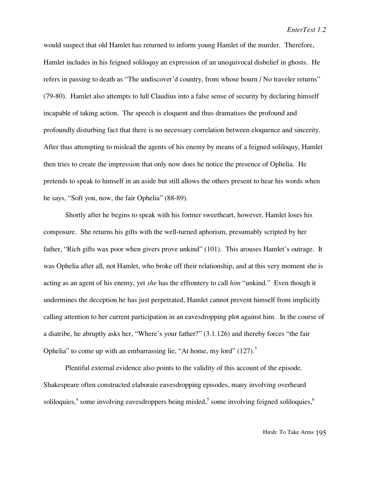would suspect that old Hamlet has returned to inform young Hamlet of the murder. Therefore, Hamlet includes in his feigned soliloquy an expression of an unequivocal disbelief in ghosts. He refers in passing to death as "The undiscover'd country, from whose bourn / No traveler returns" (79-80). Hamlet also attempts to lull Claudius into a false sense of security by declaring himself incapable of taking action. The speech is eloquent and thus dramatises the profound and profoundly disturbing fact that there is no necessary correlation between eloquence and sincerity. After thus attempting to mislead the agents of his enemy by means of a feigned soliloquy, Hamlet then tries to create the impression that only now does he notice the presence of Ophelia. He pretends to speak to himself in an aside but still allows the others present to hear his words when he says, "Soft you, now, the fair Ophelia" (88-89).

Shortly after he begins to speak with his former sweetheart, however, Hamlet loses his composure. She returns his gifts with the well-turned aphorism, presumably scripted by her father, "Rich gifts wax poor when givers prove unkind" (101). This arouses Hamlet's outrage. It was Ophelia after all, not Hamlet, who broke off their relationship, and at this very moment she is acting as an agent of his enemy, yet *she* has the effrontery to call *him* "unkind." Even though it undermines the deception he has just perpetrated, Hamlet cannot prevent himself from implicitly calling attention to her current participation in an eavesdropping plot against him. In the course of a diatribe, he abruptly asks her, "Where's your father?" (3.1.126) and thereby forces "the fair Ophelia" to come up with an embarrassing lie, "At home, my lord"  $(127)$ .<sup>3</sup>

Plentiful external evidence also points to the validity of this account of the episode. Shakespeare often constructed elaborate eavesdropping episodes, many involving overheard soliloquies,<sup>4</sup> some involving eavesdroppers being misled,<sup>5</sup> some involving feigned soliloquies,<sup>6</sup>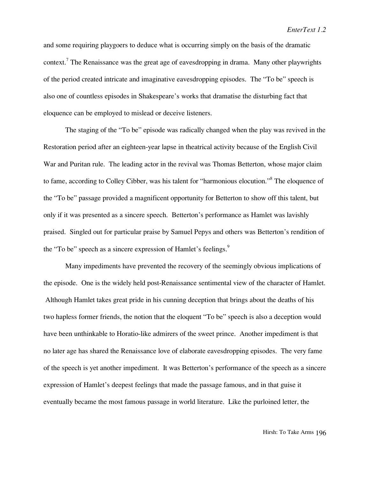and some requiring playgoers to deduce what is occurring simply on the basis of the dramatic context.<sup>7</sup> The Renaissance was the great age of eavesdropping in drama. Many other playwrights of the period created intricate and imaginative eavesdropping episodes. The "To be" speech is also one of countless episodes in Shakespeare's works that dramatise the disturbing fact that eloquence can be employed to mislead or deceive listeners.

The staging of the "To be" episode was radically changed when the play was revived in the Restoration period after an eighteen-year lapse in theatrical activity because of the English Civil War and Puritan rule. The leading actor in the revival was Thomas Betterton, whose major claim to fame, according to Colley Cibber, was his talent for "harmonious elocution."8 The eloquence of the "To be" passage provided a magnificent opportunity for Betterton to show off this talent, but only if it was presented as a sincere speech. Betterton's performance as Hamlet was lavishly praised. Singled out for particular praise by Samuel Pepys and others was Betterton's rendition of the "To be" speech as a sincere expression of Hamlet's feelings.<sup>9</sup>

Many impediments have prevented the recovery of the seemingly obvious implications of the episode. One is the widely held post-Renaissance sentimental view of the character of Hamlet. Although Hamlet takes great pride in his cunning deception that brings about the deaths of his two hapless former friends, the notion that the eloquent "To be" speech is also a deception would have been unthinkable to Horatio-like admirers of the sweet prince. Another impediment is that no later age has shared the Renaissance love of elaborate eavesdropping episodes. The very fame of the speech is yet another impediment. It was Betterton's performance of the speech as a sincere expression of Hamlet's deepest feelings that made the passage famous, and in that guise it eventually became the most famous passage in world literature. Like the purloined letter, the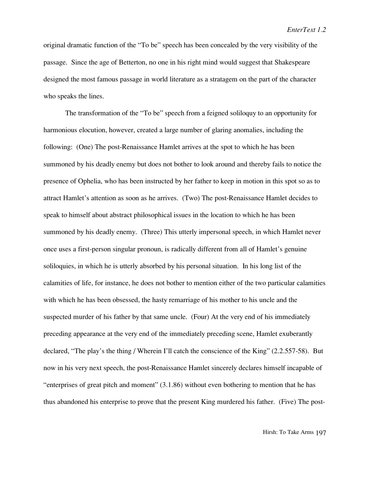original dramatic function of the "To be" speech has been concealed by the very visibility of the passage. Since the age of Betterton, no one in his right mind would suggest that Shakespeare designed the most famous passage in world literature as a stratagem on the part of the character who speaks the lines.

The transformation of the "To be" speech from a feigned soliloquy to an opportunity for harmonious elocution, however, created a large number of glaring anomalies, including the following: (One) The post-Renaissance Hamlet arrives at the spot to which he has been summoned by his deadly enemy but does not bother to look around and thereby fails to notice the presence of Ophelia, who has been instructed by her father to keep in motion in this spot so as to attract Hamlet's attention as soon as he arrives. (Two) The post-Renaissance Hamlet decides to speak to himself about abstract philosophical issues in the location to which he has been summoned by his deadly enemy. (Three) This utterly impersonal speech, in which Hamlet never once uses a first-person singular pronoun, is radically different from all of Hamlet's genuine soliloquies, in which he is utterly absorbed by his personal situation. In his long list of the calamities of life, for instance, he does not bother to mention either of the two particular calamities with which he has been obsessed, the hasty remarriage of his mother to his uncle and the suspected murder of his father by that same uncle. (Four) At the very end of his immediately preceding appearance at the very end of the immediately preceding scene, Hamlet exuberantly declared, "The play's the thing / Wherein I'll catch the conscience of the King" (2.2.557-58). But now in his very next speech, the post-Renaissance Hamlet sincerely declares himself incapable of "enterprises of great pitch and moment" (3.1.86) without even bothering to mention that he has thus abandoned his enterprise to prove that the present King murdered his father. (Five) The post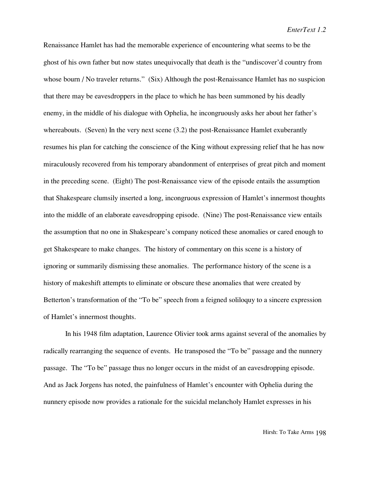Renaissance Hamlet has had the memorable experience of encountering what seems to be the ghost of his own father but now states unequivocally that death is the "undiscover'd country from whose bourn / No traveler returns." (Six) Although the post-Renaissance Hamlet has no suspicion that there may be eavesdroppers in the place to which he has been summoned by his deadly enemy, in the middle of his dialogue with Ophelia, he incongruously asks her about her father's whereabouts. (Seven) In the very next scene (3.2) the post-Renaissance Hamlet exuberantly resumes his plan for catching the conscience of the King without expressing relief that he has now miraculously recovered from his temporary abandonment of enterprises of great pitch and moment in the preceding scene. (Eight) The post-Renaissance view of the episode entails the assumption that Shakespeare clumsily inserted a long, incongruous expression of Hamlet's innermost thoughts into the middle of an elaborate eavesdropping episode. (Nine) The post-Renaissance view entails the assumption that no one in Shakespeare's company noticed these anomalies or cared enough to get Shakespeare to make changes. The history of commentary on this scene is a history of ignoring or summarily dismissing these anomalies. The performance history of the scene is a history of makeshift attempts to eliminate or obscure these anomalies that were created by Betterton's transformation of the "To be" speech from a feigned soliloquy to a sincere expression of Hamlet's innermost thoughts.

In his 1948 film adaptation, Laurence Olivier took arms against several of the anomalies by radically rearranging the sequence of events. He transposed the "To be" passage and the nunnery passage. The "To be" passage thus no longer occurs in the midst of an eavesdropping episode. And as Jack Jorgens has noted, the painfulness of Hamlet's encounter with Ophelia during the nunnery episode now provides a rationale for the suicidal melancholy Hamlet expresses in his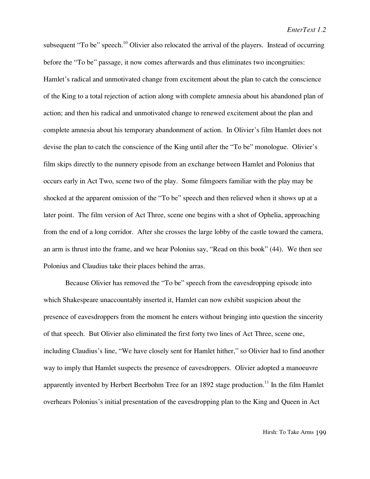subsequent "To be" speech.<sup>10</sup> Olivier also relocated the arrival of the players. Instead of occurring before the "To be" passage, it now comes afterwards and thus eliminates two incongruities: Hamlet's radical and unmotivated change from excitement about the plan to catch the conscience of the King to a total rejection of action along with complete amnesia about his abandoned plan of action; and then his radical and unmotivated change to renewed excitement about the plan and complete amnesia about his temporary abandonment of action. In Olivier's film Hamlet does not devise the plan to catch the conscience of the King until after the "To be" monologue. Olivier's film skips directly to the nunnery episode from an exchange between Hamlet and Polonius that occurs early in Act Two, scene two of the play. Some filmgoers familiar with the play may be shocked at the apparent omission of the "To be" speech and then relieved when it shows up at a later point. The film version of Act Three, scene one begins with a shot of Ophelia, approaching from the end of a long corridor. After she crosses the large lobby of the castle toward the camera, an arm is thrust into the frame, and we hear Polonius say, "Read on this book" (44). We then see Polonius and Claudius take their places behind the arras.

Because Olivier has removed the "To be" speech from the eavesdropping episode into which Shakespeare unaccountably inserted it, Hamlet can now exhibit suspicion about the presence of eavesdroppers from the moment he enters without bringing into question the sincerity of that speech. But Olivier also eliminated the first forty two lines of Act Three, scene one, including Claudius's line, "We have closely sent for Hamlet hither," so Olivier had to find another way to imply that Hamlet suspects the presence of eavesdroppers. Olivier adopted a manoeuvre apparently invented by Herbert Beerbohm Tree for an  $1892$  stage production.<sup>11</sup> In the film Hamlet overhears Polonius's initial presentation of the eavesdropping plan to the King and Queen in Act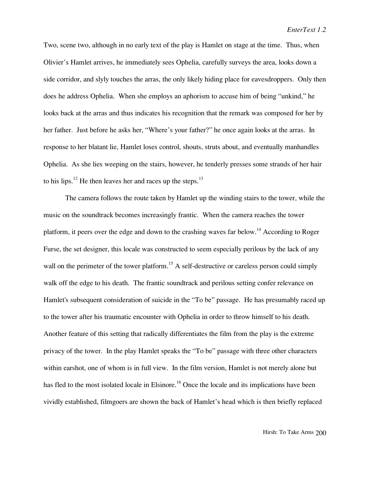Two, scene two, although in no early text of the play is Hamlet on stage at the time. Thus, when Olivier's Hamlet arrives, he immediately sees Ophelia, carefully surveys the area, looks down a side corridor, and slyly touches the arras, the only likely hiding place for eavesdroppers. Only then does he address Ophelia. When she employs an aphorism to accuse him of being "unkind," he looks back at the arras and thus indicates his recognition that the remark was composed for her by her father. Just before he asks her, "Where's your father?" he once again looks at the arras. In response to her blatant lie, Hamlet loses control, shouts, struts about, and eventually manhandles Ophelia. As she lies weeping on the stairs, however, he tenderly presses some strands of her hair to his lips.<sup>12</sup> He then leaves her and races up the steps.<sup>13</sup>

The camera follows the route taken by Hamlet up the winding stairs to the tower, while the music on the soundtrack becomes increasingly frantic. When the camera reaches the tower platform, it peers over the edge and down to the crashing waves far below.14 According to Roger Furse, the set designer, this locale was constructed to seem especially perilous by the lack of any wall on the perimeter of the tower platform.<sup>15</sup> A self-destructive or careless person could simply walk off the edge to his death. The frantic soundtrack and perilous setting confer relevance on Hamlet's subsequent consideration of suicide in the "To be" passage. He has presumably raced up to the tower after his traumatic encounter with Ophelia in order to throw himself to his death. Another feature of this setting that radically differentiates the film from the play is the extreme privacy of the tower. In the play Hamlet speaks the "To be" passage with three other characters within earshot, one of whom is in full view. In the film version, Hamlet is not merely alone but has fled to the most isolated locale in Elsinore.<sup>16</sup> Once the locale and its implications have been vividly established, filmgoers are shown the back of Hamlet's head which is then briefly replaced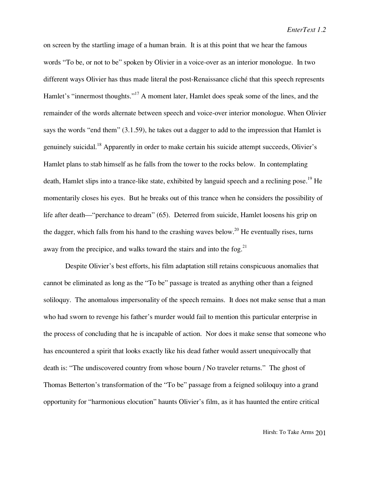on screen by the startling image of a human brain. It is at this point that we hear the famous words "To be, or not to be" spoken by Olivier in a voice-over as an interior monologue. In two different ways Olivier has thus made literal the post-Renaissance cliché that this speech represents Hamlet's "innermost thoughts."<sup>17</sup> A moment later, Hamlet does speak some of the lines, and the remainder of the words alternate between speech and voice-over interior monologue. When Olivier says the words "end them" (3.1.59), he takes out a dagger to add to the impression that Hamlet is genuinely suicidal.<sup>18</sup> Apparently in order to make certain his suicide attempt succeeds, Olivier's Hamlet plans to stab himself as he falls from the tower to the rocks below. In contemplating death, Hamlet slips into a trance-like state, exhibited by languid speech and a reclining pose.<sup>19</sup> He momentarily closes his eyes. But he breaks out of this trance when he considers the possibility of life after death—"perchance to dream" (65). Deterred from suicide, Hamlet loosens his grip on the dagger, which falls from his hand to the crashing waves below.<sup>20</sup> He eventually rises, turns away from the precipice, and walks toward the stairs and into the fog.<sup>21</sup>

Despite Olivier's best efforts, his film adaptation still retains conspicuous anomalies that cannot be eliminated as long as the "To be" passage is treated as anything other than a feigned soliloquy. The anomalous impersonality of the speech remains. It does not make sense that a man who had sworn to revenge his father's murder would fail to mention this particular enterprise in the process of concluding that he is incapable of action. Nor does it make sense that someone who has encountered a spirit that looks exactly like his dead father would assert unequivocally that death is: "The undiscovered country from whose bourn / No traveler returns." The ghost of Thomas Betterton's transformation of the "To be" passage from a feigned soliloquy into a grand opportunity for "harmonious elocution" haunts Olivier's film, as it has haunted the entire critical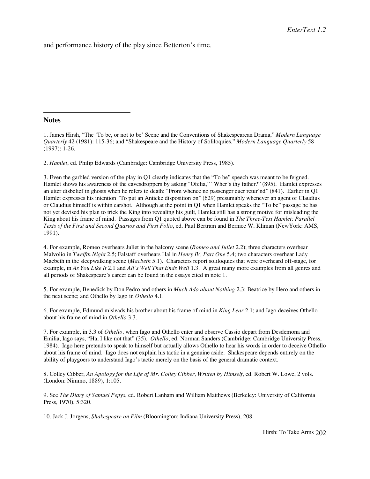and performance history of the play since Betterton's time.

## **Notes**

 $\overline{a}$ 

1. James Hirsh, "The 'To be, or not to be' Scene and the Conventions of Shakespearean Drama," *Modern Language Quarterly* 42 (1981): 115-36; and "Shakespeare and the History of Soliloquies," *Modern Language Quarterly* 58 (1997): 1-26.

2. *Hamlet*, ed. Philip Edwards (Cambridge: Cambridge University Press, 1985).

3. Even the garbled version of the play in Q1 clearly indicates that the "To be" speech was meant to be feigned. Hamlet shows his awareness of the eavesdroppers by asking "Ofelia," "Wher's thy father?" (895). Hamlet expresses an utter disbelief in ghosts when he refers to death: "From whence no passenger euer retur'nd" (841). Earlier in Q1 Hamlet expresses his intention "To put an Anticke disposition on" (629) presumably whenever an agent of Claudius or Claudius himself is within earshot. Although at the point in Q1 when Hamlet speaks the "To be" passage he has not yet devised his plan to trick the King into revealing his guilt, Hamlet still has a strong motive for misleading the King about his frame of mind. Passages from Q1 quoted above can be found in *The Three-Text Hamlet: Parallel Texts of the First and Second Quartos and First Folio*, ed. Paul Bertram and Bernice W. Kliman (NewYork: AMS, 1991).

4. For example, Romeo overhears Juliet in the balcony scene (*Romeo and Juliet* 2.2); three characters overhear Malvolio in *Twelfth Night* 2.5; Falstaff overhears Hal in *Henry IV, Part One* 5.4; two characters overhear Lady Macbeth in the sleepwalking scene (*Macbeth* 5.1). Characters report soliloquies that were overheard off-stage, for example, in *As You Like It* 2.1 and *All's Well That Ends Well* 1.3. A great many more examples from all genres and all periods of Shakespeare's career can be found in the essays cited in note 1.

5. For example, Benedick by Don Pedro and others in *Much Ado about Nothing* 2.3; Beatrice by Hero and others in the next scene; and Othello by Iago in *Othello* 4.1.

6. For example, Edmund misleads his brother about his frame of mind in *King Lear* 2.1; and Iago deceives Othello about his frame of mind in *Othello* 3.3.

7. For example, in 3.3 of *Othello*, when Iago and Othello enter and observe Cassio depart from Desdemona and Emilia, Iago says, "Ha, I like not that" (35). *Othello*, ed. Norman Sanders (Cambridge: Cambridge University Press, 1984). Iago here pretends to speak to himself but actually allows Othello to hear his words in order to deceive Othello about his frame of mind. Iago does not explain his tactic in a genuine aside. Shakespeare depends entirely on the ability of playgoers to understand Iago's tactic merely on the basis of the general dramatic context.

8. Colley Cibber, *An Apology for the Life of Mr. Colley Cibber, Written by Himself*, ed. Robert W. Lowe, 2 vols. (London: Nimmo, 1889), 1:105.

9. See *The Diary of Samuel Pepys*, ed. Robert Lanham and William Matthews (Berkeley: University of California Press, 1970), 5:320.

10. Jack J. Jorgens, *Shakespeare on Film* (Bloomington: Indiana University Press), 208.